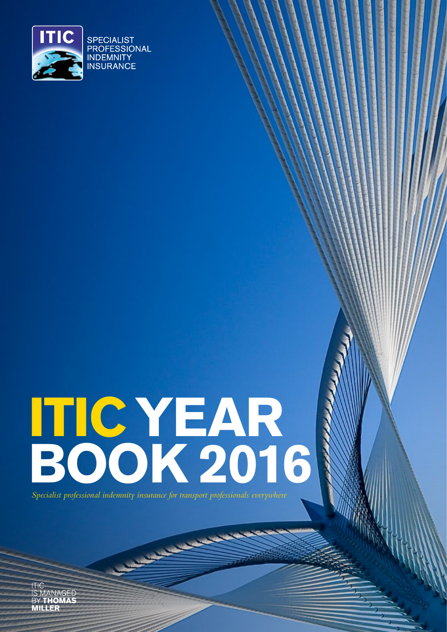

# **ITIC YEAR BOOK 2016**

*Specialist professional indemnity insurance for transport professionals everywhere*

**CONTRACTOR** 

**ITIC** IS MANAGED<br>BY **THOMAS MILLER**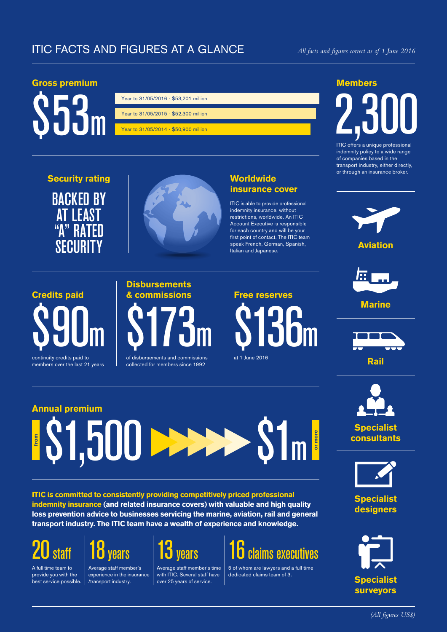#### ITIC FACTS AND FIGURES AT A GLANCE *All facts and figures correct as of 1 June 2016*

#### **Gross premium**



| Year to 31/05/2016 - \$53.201 million |
|---------------------------------------|
|                                       |
| Year to 31/05/2015 - \$52,300 million |
|                                       |
| Year to 31/05/2014 - \$50,900 million |

### **Security rating** BACKED BY **AT LEAST** "A" RATED SECURITY



#### **Worldwide insurance cover**

ITIC is able to provide professional indemnity insurance, without restrictions, worldwide. An ITIC Account Executive is responsible for each country and will be your first point of contact. The ITIC team speak French, German, Spanish, Italian and Japanese.

## **Credits paid** \$90m continuity credits paid to

members over the last 21 years

# **Disbursements & commissions** \$173m

of disbursements and commissions collected for members since 1992



### **Annual premium \$1,500 DEEE from 1m**

**ITIC is committed to consistently providing competitively priced professional indemnity insurance (and related insurance covers) with valuable and high quality loss prevention advice to businesses servicing the marine, aviation, rail and general transport industry. The ITIC team have a wealth of experience and knowledge.**



A full time team to provide you with the best service possible.



Average staff member's experience in the insurance /transport industry.



Average staff member's time with ITIC. Several staff have over 25 years of service.



5 of whom are lawyers and a full time dedicated claims team of 3.

#### **Members**

# **2,300**

ITIC offers a unique professional indemnity policy to a wide range of companies based in the transport industry, either directly, or through an insurance broker.





**Marine**





**Specialist consultants**

**or more**



**Specialist designers**

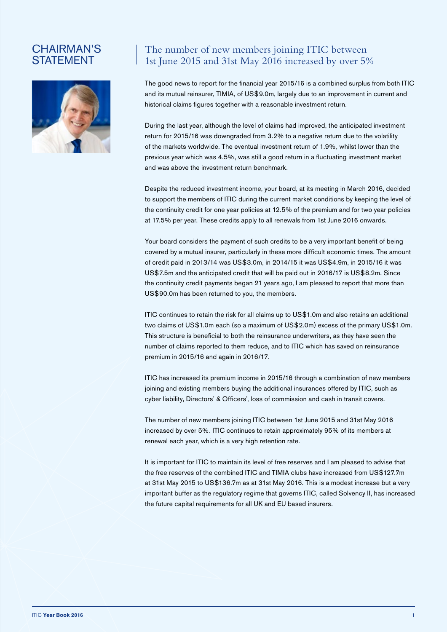#### CHAIRMAN'S **STATEMENT**



#### The number of new members joining ITIC between 1st June 2015 and 31st May 2016 increased by over 5%

The good news to report for the financial year 2015/16 is a combined surplus from both ITIC and its mutual reinsurer, TIMIA, of US\$9.0m, largely due to an improvement in current and historical claims figures together with a reasonable investment return.

During the last year, although the level of claims had improved, the anticipated investment return for 2015/16 was downgraded from 3.2% to a negative return due to the volatility of the markets worldwide. The eventual investment return of 1.9%, whilst lower than the previous year which was 4.5%, was still a good return in a fluctuating investment market and was above the investment return benchmark.

Despite the reduced investment income, your board, at its meeting in March 2016, decided to support the members of ITIC during the current market conditions by keeping the level of the continuity credit for one year policies at 12.5% of the premium and for two year policies at 17.5% per year. These credits apply to all renewals from 1st June 2016 onwards.

Your board considers the payment of such credits to be a very important benefit of being covered by a mutual insurer, particularly in these more difficult economic times. The amount of credit paid in 2013/14 was US\$3.0m, in 2014/15 it was US\$4.9m, in 2015/16 it was US\$7.5m and the anticipated credit that will be paid out in 2016/17 is US\$8.2m. Since the continuity credit payments began 21 years ago, I am pleased to report that more than US\$90.0m has been returned to you, the members.

ITIC continues to retain the risk for all claims up to US\$1.0m and also retains an additional two claims of US\$1.0m each (so a maximum of US\$2.0m) excess of the primary US\$1.0m. This structure is beneficial to both the reinsurance underwriters, as they have seen the number of claims reported to them reduce, and to ITIC which has saved on reinsurance premium in 2015/16 and again in 2016/17.

ITIC has increased its premium income in 2015/16 through a combination of new members joining and existing members buying the additional insurances offered by ITIC, such as cyber liability, Directors' & Officers', loss of commission and cash in transit covers.

The number of new members joining ITIC between 1st June 2015 and 31st May 2016 increased by over 5%. ITIC continues to retain approximately 95% of its members at renewal each year, which is a very high retention rate.

It is important for ITIC to maintain its level of free reserves and I am pleased to advise that the free reserves of the combined ITIC and TIMIA clubs have increased from US\$127.7m at 31st May 2015 to US\$136.7m as at 31st May 2016. This is a modest increase but a very important buffer as the regulatory regime that governs ITIC, called Solvency II, has increased the future capital requirements for all UK and EU based insurers.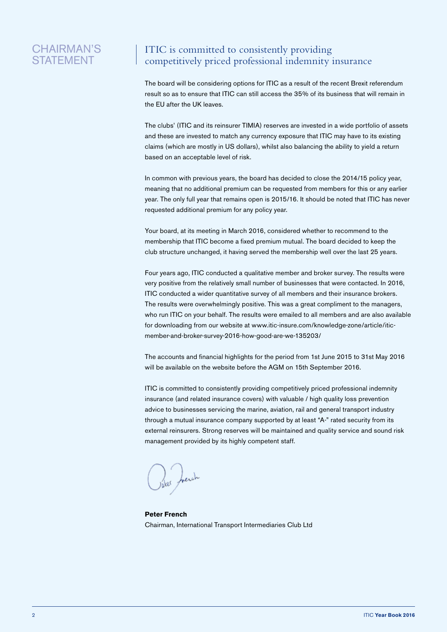#### CHAIRMAN'S **STATEMENT**

#### ITIC is committed to consistently providing competitively priced professional indemnity insurance

The board will be considering options for ITIC as a result of the recent Brexit referendum result so as to ensure that ITIC can still access the 35% of its business that will remain in the EU after the UK leaves.

The clubs' (ITIC and its reinsurer TIMIA) reserves are invested in a wide portfolio of assets and these are invested to match any currency exposure that ITIC may have to its existing claims (which are mostly in US dollars), whilst also balancing the ability to yield a return based on an acceptable level of risk.

In common with previous years, the board has decided to close the 2014/15 policy year, meaning that no additional premium can be requested from members for this or any earlier year. The only full year that remains open is 2015/16. It should be noted that ITIC has never requested additional premium for any policy year.

Your board, at its meeting in March 2016, considered whether to recommend to the membership that ITIC become a fixed premium mutual. The board decided to keep the club structure unchanged, it having served the membership well over the last 25 years.

Four years ago, ITIC conducted a qualitative member and broker survey. The results were very positive from the relatively small number of businesses that were contacted. In 2016, ITIC conducted a wider quantitative survey of all members and their insurance brokers. The results were overwhelmingly positive. This was a great compliment to the managers, who run ITIC on your behalf. The results were emailed to all members and are also available for downloading from our website at www.itic-insure.com/knowledge-zone/article/iticmember-and-broker-survey-2016-how-good-are-we-135203/

The accounts and financial highlights for the period from 1st June 2015 to 31st May 2016 will be available on the website before the AGM on 15th September 2016.

ITIC is committed to consistently providing competitively priced professional indemnity insurance (and related insurance covers) with valuable / high quality loss prevention advice to businesses servicing the marine, aviation, rail and general transport industry through a mutual insurance company supported by at least "A-" rated security from its external reinsurers. Strong reserves will be maintained and quality service and sound risk management provided by its highly competent staff.

**Peter French**  Chairman, International Transport Intermediaries Club Ltd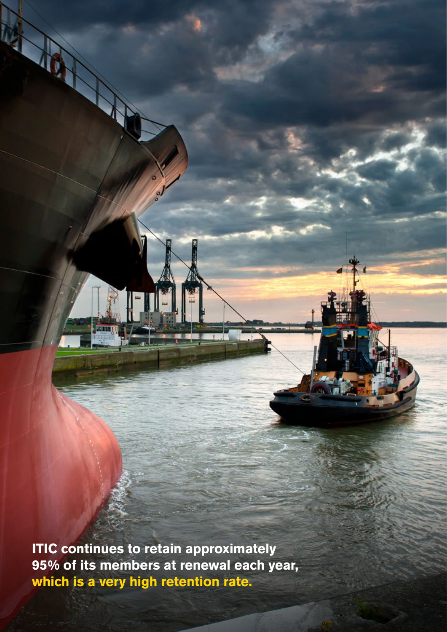**ITIC continues to retain approximately 95% of its members at renewal each year, which is a very high retention rate.**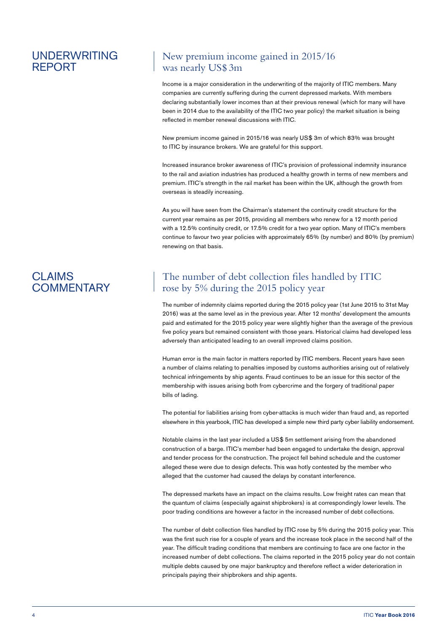#### UNDERWRITING REPORT

#### New premium income gained in 2015/16 was nearly US\$ 3m

Income is a major consideration in the underwriting of the majority of ITIC members. Many companies are currently suffering during the current depressed markets. With members declaring substantially lower incomes than at their previous renewal (which for many will have been in 2014 due to the availability of the ITIC two year policy) the market situation is being reflected in member renewal discussions with ITIC.

New premium income gained in 2015/16 was nearly US\$ 3m of which 83% was brought to ITIC by insurance brokers. We are grateful for this support.

Increased insurance broker awareness of ITIC's provision of professional indemnity insurance to the rail and aviation industries has produced a healthy growth in terms of new members and premium. ITIC's strength in the rail market has been within the UK, although the growth from overseas is steadily increasing.

As you will have seen from the Chairman's statement the continuity credit structure for the current year remains as per 2015, providing all members who renew for a 12 month period with a 12.5% continuity credit, or 17.5% credit for a two year option. Many of ITIC's members continue to favour two year policies with approximately 65% (by number) and 80% (by premium) renewing on that basis.

#### CLAIMS **COMMENTARY**

#### The number of debt collection files handled by ITIC rose by 5% during the 2015 policy year

The number of indemnity claims reported during the 2015 policy year (1st June 2015 to 31st May 2016) was at the same level as in the previous year. After 12 months' development the amounts paid and estimated for the 2015 policy year were slightly higher than the average of the previous five policy years but remained consistent with those years. Historical claims had developed less adversely than anticipated leading to an overall improved claims position.

Human error is the main factor in matters reported by ITIC members. Recent years have seen a number of claims relating to penalties imposed by customs authorities arising out of relatively technical infringements by ship agents. Fraud continues to be an issue for this sector of the membership with issues arising both from cybercrime and the forgery of traditional paper bills of lading.

The potential for liabilities arising from cyber-attacks is much wider than fraud and, as reported elsewhere in this yearbook, ITIC has developed a simple new third party cyber liability endorsement.

Notable claims in the last year included a US\$ 5m settlement arising from the abandoned construction of a barge. ITIC's member had been engaged to undertake the design, approval and tender process for the construction. The project fell behind schedule and the customer alleged these were due to design defects. This was hotly contested by the member who alleged that the customer had caused the delays by constant interference.

The depressed markets have an impact on the claims results. Low freight rates can mean that the quantum of claims (especially against shipbrokers) is at correspondingly lower levels. The poor trading conditions are however a factor in the increased number of debt collections.

The number of debt collection files handled by ITIC rose by 5% during the 2015 policy year. This was the first such rise for a couple of years and the increase took place in the second half of the year. The difficult trading conditions that members are continuing to face are one factor in the increased number of debt collections. The claims reported in the 2015 policy year do not contain multiple debts caused by one major bankruptcy and therefore reflect a wider deterioration in principals paying their shipbrokers and ship agents.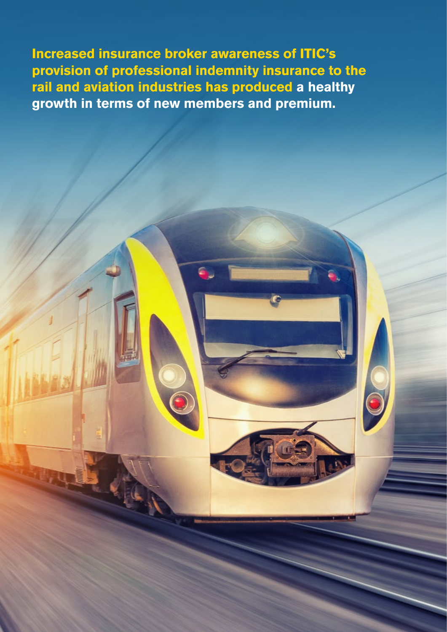**Increased insurance broker awareness of ITIC's provision of professional indemnity insurance to the rail and aviation industries has produced a healthy growth in terms of new members and premium.**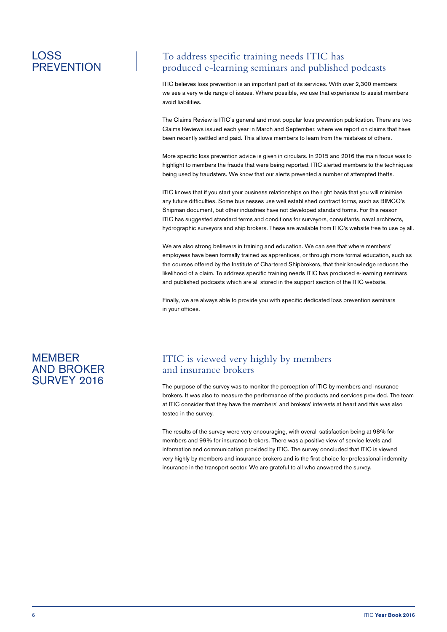#### LOSS **PREVENTION**

#### To address specific training needs ITIC has produced e-learning seminars and published podcasts

ITIC believes loss prevention is an important part of its services. With over 2,300 members we see a very wide range of issues. Where possible, we use that experience to assist members avoid liabilities.

The Claims Review is ITIC's general and most popular loss prevention publication. There are two Claims Reviews issued each year in March and September, where we report on claims that have been recently settled and paid. This allows members to learn from the mistakes of others.

More specific loss prevention advice is given in circulars. In 2015 and 2016 the main focus was to highlight to members the frauds that were being reported. ITIC alerted members to the techniques being used by fraudsters. We know that our alerts prevented a number of attempted thefts.

ITIC knows that if you start your business relationships on the right basis that you will minimise any future difficulties. Some businesses use well established contract forms, such as BIMCO's Shipman document, but other industries have not developed standard forms. For this reason ITIC has suggested standard terms and conditions for surveyors, consultants, naval architects, hydrographic surveyors and ship brokers. These are available from ITIC's website free to use by all.

We are also strong believers in training and education. We can see that where members' employees have been formally trained as apprentices, or through more formal education, such as the courses offered by the Institute of Chartered Shipbrokers, that their knowledge reduces the likelihood of a claim. To address specific training needs ITIC has produced e-learning seminars and published podcasts which are all stored in the support section of the ITIC website.

Finally, we are always able to provide you with specific dedicated loss prevention seminars in your offices.

#### **MEMBER** AND BROKER SURVEY 2016

#### ITIC is viewed very highly by members and insurance brokers

The purpose of the survey was to monitor the perception of ITIC by members and insurance brokers. It was also to measure the performance of the products and services provided. The team at ITIC consider that they have the members' and brokers' interests at heart and this was also tested in the survey.

The results of the survey were very encouraging, with overall satisfaction being at 98% for members and 99% for insurance brokers. There was a positive view of service levels and information and communication provided by ITIC. The survey concluded that ITIC is viewed very highly by members and insurance brokers and is the first choice for professional indemnity insurance in the transport sector. We are grateful to all who answered the survey.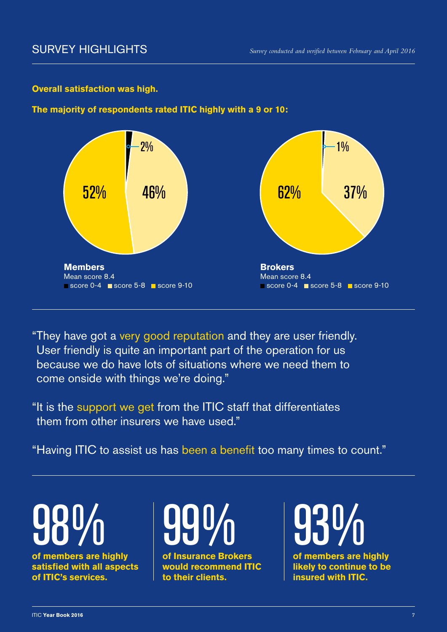#### **Overall satisfaction was high.**

#### **The majority of respondents rated ITIC highly with a 9 or 10:**



"They have got a very good reputation and they are user friendly. User friendly is quite an important part of the operation for us because we do have lots of situations where we need them to come onside with things we're doing."

"It is the support we get from the ITIC staff that differentiates them from other insurers we have used."

"Having ITIC to assist us has been a benefit too many times to count."

**of members are highly satisfied with all aspects of ITIC's services. 98%** 



**of Insurance Brokers would recommend ITIC to their clients.**

**930/0**<br>of members are highly

**likely to continue to be insured with ITIC.**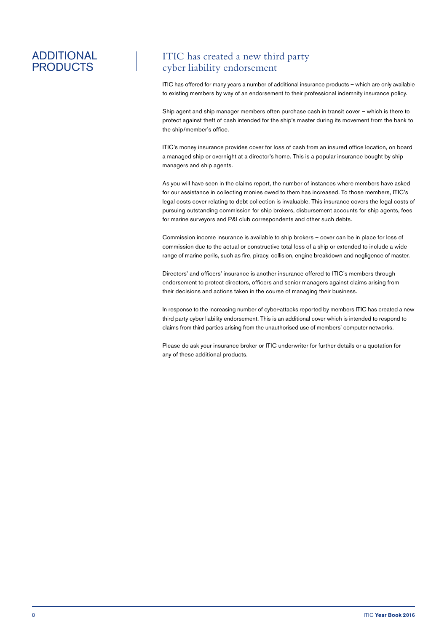#### ADDITIONAL PRODUCTS

#### ITIC has created a new third party cyber liability endorsement

ITIC has offered for many years a number of additional insurance products – which are only available to existing members by way of an endorsement to their professional indemnity insurance policy.

Ship agent and ship manager members often purchase cash in transit cover – which is there to protect against theft of cash intended for the ship's master during its movement from the bank to the ship/member's office.

ITIC's money insurance provides cover for loss of cash from an insured office location, on board a managed ship or overnight at a director's home. This is a popular insurance bought by ship managers and ship agents.

As you will have seen in the claims report, the number of instances where members have asked for our assistance in collecting monies owed to them has increased. To those members, ITIC's legal costs cover relating to debt collection is invaluable. This insurance covers the legal costs of pursuing outstanding commission for ship brokers, disbursement accounts for ship agents, fees for marine surveyors and P&I club correspondents and other such debts.

Commission income insurance is available to ship brokers – cover can be in place for loss of commission due to the actual or constructive total loss of a ship or extended to include a wide range of marine perils, such as fire, piracy, collision, engine breakdown and negligence of master.

Directors' and officers' insurance is another insurance offered to ITIC's members through endorsement to protect directors, officers and senior managers against claims arising from their decisions and actions taken in the course of managing their business.

In response to the increasing number of cyber-attacks reported by members ITIC has created a new third party cyber liability endorsement. This is an additional cover which is intended to respond to claims from third parties arising from the unauthorised use of members' computer networks.

Please do ask your insurance broker or ITIC underwriter for further details or a quotation for any of these additional products.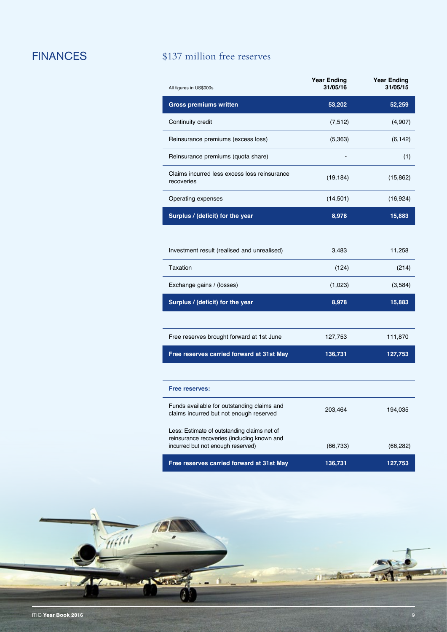#### FINANCES \$137 million free reserves

| All figures in US\$000s                                                                                                         | <b>Year Ending</b><br>31/05/16 | <b>Year Ending</b><br>31/05/15 |
|---------------------------------------------------------------------------------------------------------------------------------|--------------------------------|--------------------------------|
| <b>Gross premiums written</b>                                                                                                   | 53,202                         | 52,259                         |
| Continuity credit                                                                                                               | (7, 512)                       | (4,907)                        |
| Reinsurance premiums (excess loss)                                                                                              | (5, 363)                       | (6, 142)                       |
| Reinsurance premiums (quota share)                                                                                              |                                | (1)                            |
| Claims incurred less excess loss reinsurance<br>recoveries                                                                      | (19, 184)                      | (15, 862)                      |
| Operating expenses                                                                                                              | (14, 501)                      | (16, 924)                      |
| Surplus / (deficit) for the year                                                                                                | 8,978                          | 15,883                         |
|                                                                                                                                 |                                |                                |
| Investment result (realised and unrealised)                                                                                     | 3,483                          | 11,258                         |
| Taxation                                                                                                                        | (124)                          | (214)                          |
| Exchange gains / (losses)                                                                                                       | (1,023)                        | (3,584)                        |
| Surplus / (deficit) for the year                                                                                                | 8,978                          | 15,883                         |
|                                                                                                                                 |                                |                                |
| Free reserves brought forward at 1st June                                                                                       | 127,753                        | 111,870                        |
| Free reserves carried forward at 31st May                                                                                       | 136,731                        | 127,753                        |
|                                                                                                                                 |                                |                                |
| Free reserves:                                                                                                                  |                                |                                |
| Funds available for outstanding claims and<br>claims incurred but not enough reserved                                           | 203,464                        | 194,035                        |
| Less: Estimate of outstanding claims net of<br>reinsurance recoveries (including known and<br>incurred but not enough reserved) | (66, 733)                      | (66, 282)                      |
| Free reserves carried forward at 31st May                                                                                       | 136,731                        | 127,753                        |

WHIT **MOL** è 11 March phs All Com **SIGN** ٠ ITIC **Year Book 2016** 9